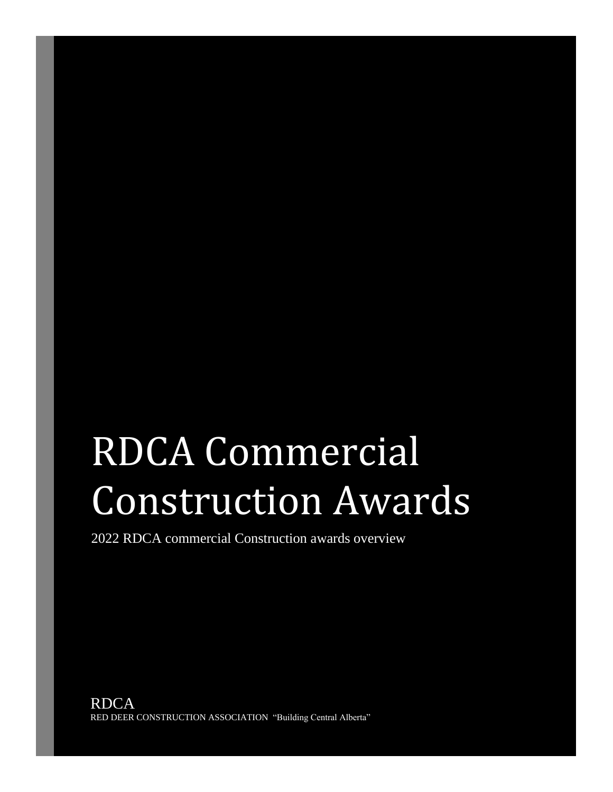# RDCA Commercial Construction Awards

2022 RDCA commercial Construction awards overview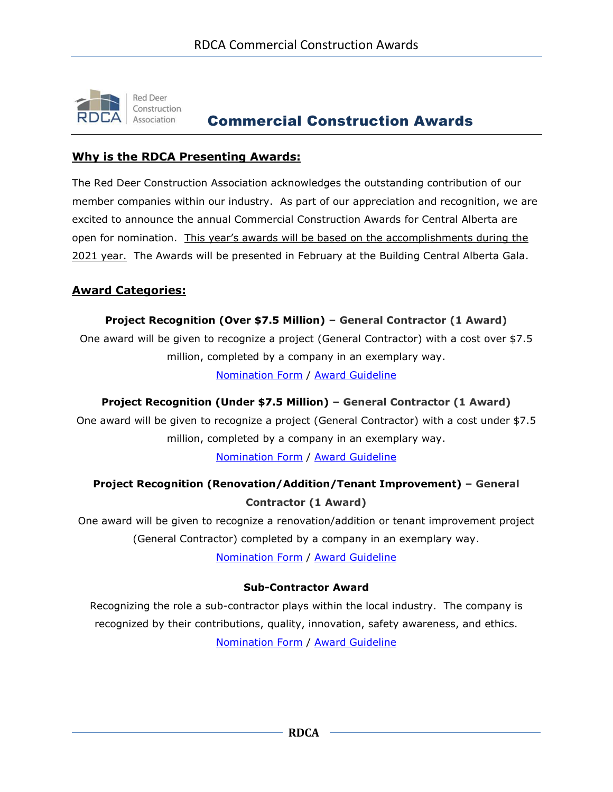

# Commercial Construction Awards

## **Why is the RDCA Presenting Awards:**

The Red Deer Construction Association acknowledges the outstanding contribution of our member companies within our industry. As part of our appreciation and recognition, we are excited to announce the annual Commercial Construction Awards for Central Alberta are open for nomination. This year's awards will be based on the accomplishments during the 2021 year. The Awards will be presented in February at the Building Central Alberta Gala.

## **Award Categories:**

#### **Project Recognition (Over \$7.5 Million) – General Contractor (1 Award)**

One award will be given to recognize a project (General Contractor) with a cost over \$7.5 million, completed by a company in an exemplary way.

[Nomination Form](http://www.rdca.ca/wp-content/uploads/2022/01/Project-Recognition-Over-7.5-Million-Nomination-Form-2022.pdf) / [Award Guideline](http://rdca.ca/wp-content/uploads/2021/09/Project-Recognition-Over-7.5-Million-Guideline.pdf)

## **Project Recognition (Under \$7.5 Million) – General Contractor (1 Award)**

One award will be given to recognize a project (General Contractor) with a cost under \$7.5 million, completed by a company in an exemplary way.

[Nomination Form](http://www.rdca.ca/wp-content/uploads/2022/01/Project-Recognition-Under-7.5-Million-Nomination-Form-2022.pdf) / [Award Guideline](http://rdca.ca/wp-content/uploads/2021/09/Project-Recognition-Under-7.5-Million-Guideline.pdf)

# **Project Recognition (Renovation/Addition/Tenant Improvement) – General Contractor (1 Award)**

One award will be given to recognize a renovation/addition or tenant improvement project (General Contractor) completed by a company in an exemplary way.

[Nomination Form](http://www.rdca.ca/wp-content/uploads/2022/01/Project-Recognition-Renovation-Nomination-Form-2022.pdf) / [Award Guideline](http://rdca.ca/wp-content/uploads/2021/09/Project-Recognition-Renovation-Guideline.pdf)

#### **Sub-Contractor Award**

Recognizing the role a sub-contractor plays within the local industry. The company is recognized by their contributions, quality, innovation, safety awareness, and ethics. [Nomination Form](http://www.rdca.ca/wp-content/uploads/2022/01/Sub-Contractor-Award-Nomination-Form-2022.pdf) / [Award Guideline](http://rdca.ca/wp-content/uploads/2021/09/Sub-Contractor-Award-Guideline.pdf)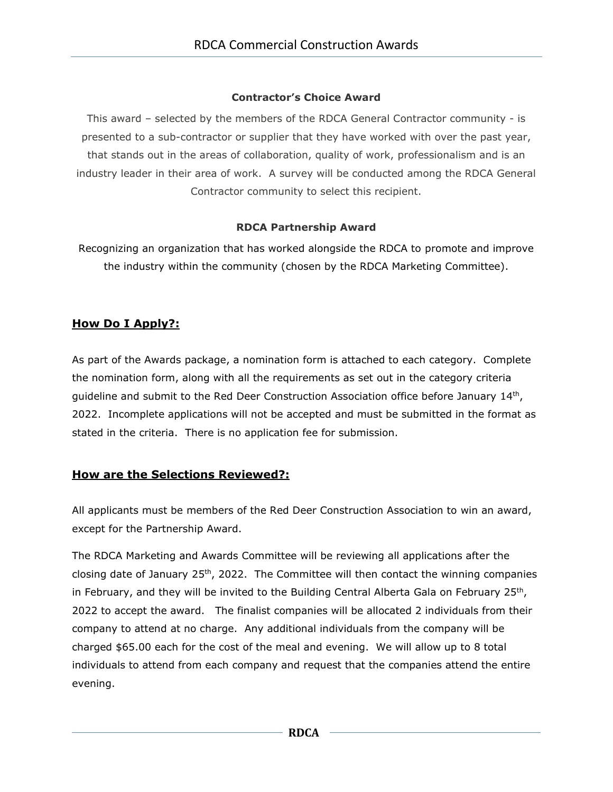## **Contractor's Choice Award**

This award – selected by the members of the RDCA General Contractor community - is presented to a sub-contractor or supplier that they have worked with over the past year, that stands out in the areas of collaboration, quality of work, professionalism and is an industry leader in their area of work. A survey will be conducted among the RDCA General Contractor community to select this recipient.

## **RDCA Partnership Award**

Recognizing an organization that has worked alongside the RDCA to promote and improve the industry within the community (chosen by the RDCA Marketing Committee).

# **How Do I Apply?:**

As part of the Awards package, a nomination form is attached to each category. Complete the nomination form, along with all the requirements as set out in the category criteria guideline and submit to the Red Deer Construction Association office before January  $14<sup>th</sup>$ , 2022. Incomplete applications will not be accepted and must be submitted in the format as stated in the criteria. There is no application fee for submission.

# **How are the Selections Reviewed?:**

All applicants must be members of the Red Deer Construction Association to win an award, except for the Partnership Award.

The RDCA Marketing and Awards Committee will be reviewing all applications after the closing date of January  $25<sup>th</sup>$ , 2022. The Committee will then contact the winning companies in February, and they will be invited to the Building Central Alberta Gala on February 25<sup>th</sup>, 2022 to accept the award. The finalist companies will be allocated 2 individuals from their company to attend at no charge. Any additional individuals from the company will be charged \$65.00 each for the cost of the meal and evening. We will allow up to 8 total individuals to attend from each company and request that the companies attend the entire evening.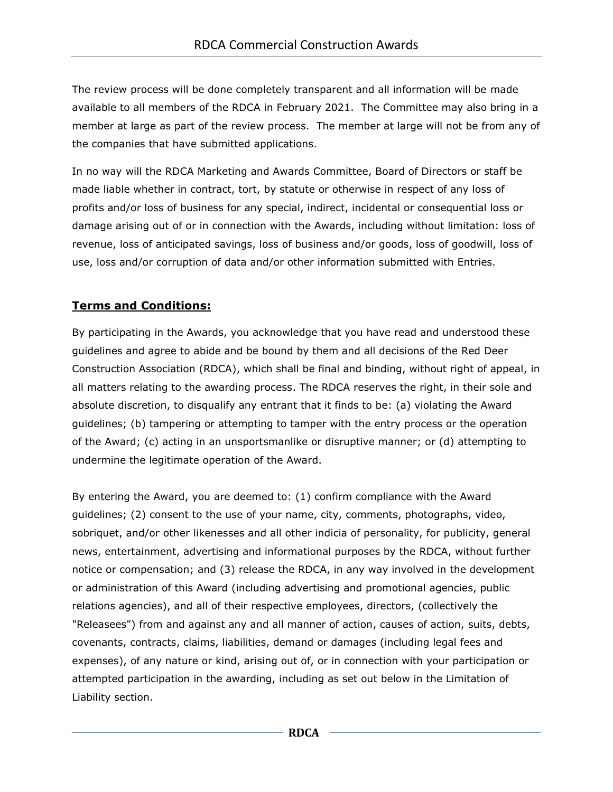The review process will be done completely transparent and all information will be made available to all members of the RDCA in February 2021. The Committee may also bring in a member at large as part of the review process. The member at large will not be from any of the companies that have submitted applications.

In no way will the RDCA Marketing and Awards Committee, Board of Directors or staff be made liable whether in contract, tort, by statute or otherwise in respect of any loss of profits and/or loss of business for any special, indirect, incidental or consequential loss or damage arising out of or in connection with the Awards, including without limitation: loss of revenue, loss of anticipated savings, loss of business and/or goods, loss of goodwill, loss of use, loss and/or corruption of data and/or other information submitted with Entries.

# **Terms and Conditions:**

By participating in the Awards, you acknowledge that you have read and understood these guidelines and agree to abide and be bound by them and all decisions of the Red Deer Construction Association (RDCA), which shall be final and binding, without right of appeal, in all matters relating to the awarding process. The RDCA reserves the right, in their sole and absolute discretion, to disqualify any entrant that it finds to be: (a) violating the Award guidelines; (b) tampering or attempting to tamper with the entry process or the operation of the Award; (c) acting in an unsportsmanlike or disruptive manner; or (d) attempting to undermine the legitimate operation of the Award.

By entering the Award, you are deemed to: (1) confirm compliance with the Award guidelines; (2) consent to the use of your name, city, comments, photographs, video, sobriquet, and/or other likenesses and all other indicia of personality, for publicity, general news, entertainment, advertising and informational purposes by the RDCA, without further notice or compensation; and (3) release the RDCA, in any way involved in the development or administration of this Award (including advertising and promotional agencies, public relations agencies), and all of their respective employees, directors, (collectively the "Releasees") from and against any and all manner of action, causes of action, suits, debts, covenants, contracts, claims, liabilities, demand or damages (including legal fees and expenses), of any nature or kind, arising out of, or in connection with your participation or attempted participation in the awarding, including as set out below in the Limitation of Liability section.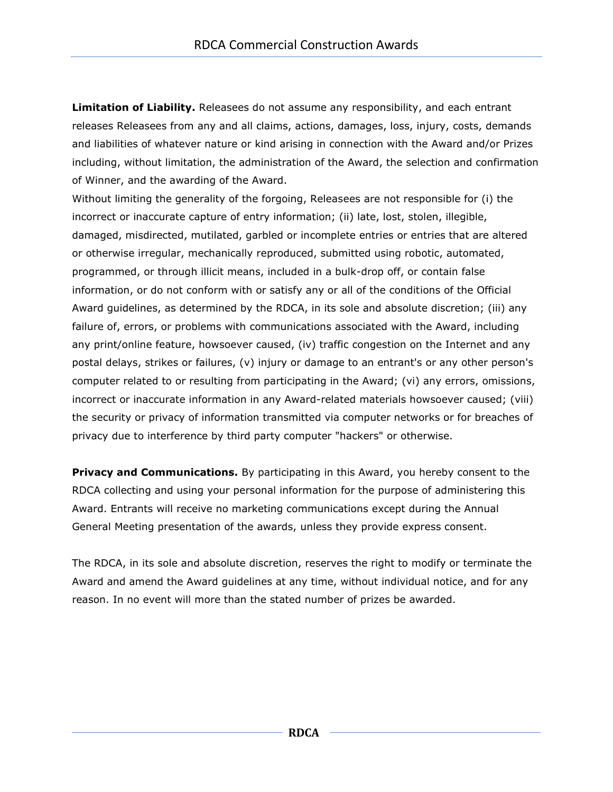**Limitation of Liability.** Releasees do not assume any responsibility, and each entrant releases Releasees from any and all claims, actions, damages, loss, injury, costs, demands and liabilities of whatever nature or kind arising in connection with the Award and/or Prizes including, without limitation, the administration of the Award, the selection and confirmation of Winner, and the awarding of the Award.

Without limiting the generality of the forgoing, Releasees are not responsible for (i) the incorrect or inaccurate capture of entry information; (ii) late, lost, stolen, illegible, damaged, misdirected, mutilated, garbled or incomplete entries or entries that are altered or otherwise irregular, mechanically reproduced, submitted using robotic, automated, programmed, or through illicit means, included in a bulk-drop off, or contain false information, or do not conform with or satisfy any or all of the conditions of the Official Award guidelines, as determined by the RDCA, in its sole and absolute discretion; (iii) any failure of, errors, or problems with communications associated with the Award, including any print/online feature, howsoever caused, (iv) traffic congestion on the Internet and any postal delays, strikes or failures, (v) injury or damage to an entrant's or any other person's computer related to or resulting from participating in the Award; (vi) any errors, omissions, incorrect or inaccurate information in any Award-related materials howsoever caused; (viii) the security or privacy of information transmitted via computer networks or for breaches of privacy due to interference by third party computer "hackers" or otherwise.

**Privacy and Communications.** By participating in this Award, you hereby consent to the RDCA collecting and using your personal information for the purpose of administering this Award. Entrants will receive no marketing communications except during the Annual General Meeting presentation of the awards, unless they provide express consent.

The RDCA, in its sole and absolute discretion, reserves the right to modify or terminate the Award and amend the Award guidelines at any time, without individual notice, and for any reason. In no event will more than the stated number of prizes be awarded.